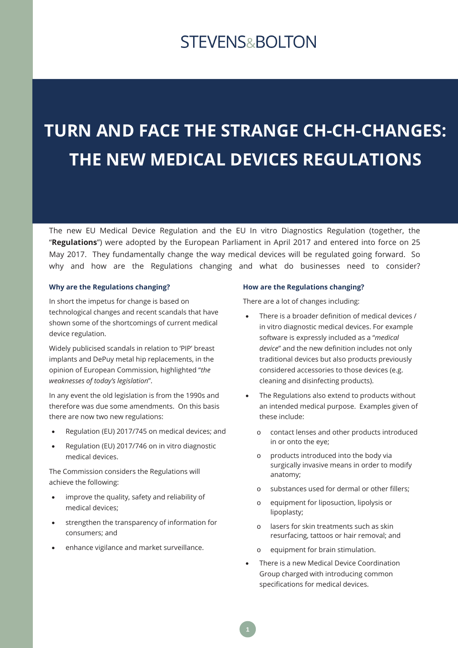## **STEVENS&BOLTON**

# **TURN AND FACE THE STRANGE CH-CH-CHANGES: THE NEW MEDICAL DEVICES REGULATIONS**

The new EU Medical Device Regulation and the EU In vitro Diagnostics Regulation (together, the "**Regulations**") were adopted by the European Parliament in April 2017 and entered into force on 25 May 2017. They fundamentally change the way medical devices will be regulated going forward. So why and how are the Regulations changing and what do businesses need to consider?

#### **Why are the Regulations changing?**

In short the impetus for change is based on technological changes and recent scandals that have shown some of the shortcomings of current medical device regulation.

Widely publicised scandals in relation to 'PIP' breast implants and DePuy metal hip replacements, in the opinion of European Commission, highlighted "*the weaknesses of today's legislation*".

In any event the old legislation is from the 1990s and therefore was due some amendments. On this basis there are now two new regulations:

- Regulation (EU) 2017/745 on medical devices; and
- Regulation (EU) 2017/746 on in vitro diagnostic medical devices.

The Commission considers the Regulations will achieve the following:

- improve the quality, safety and reliability of medical devices;
- strengthen the transparency of information for consumers; and
- enhance vigilance and market surveillance.

#### **How are the Regulations changing?**

There are a lot of changes including:

- There is a broader definition of medical devices / in vitro diagnostic medical devices. For example software is expressly included as a "*medical device*" and the new definition includes not only traditional devices but also products previously considered accessories to those devices (e.g. cleaning and disinfecting products).
- The Regulations also extend to products without an intended medical purpose. Examples given of these include:
	- o contact lenses and other products introduced in or onto the eye;
	- o products introduced into the body via surgically invasive means in order to modify anatomy;
	- o substances used for dermal or other fillers;
	- o equipment for liposuction, lipolysis or lipoplasty;
	- o lasers for skin treatments such as skin resurfacing, tattoos or hair removal; and
	- o equipment for brain stimulation.
- There is a new Medical Device Coordination Group charged with introducing common specifications for medical devices.